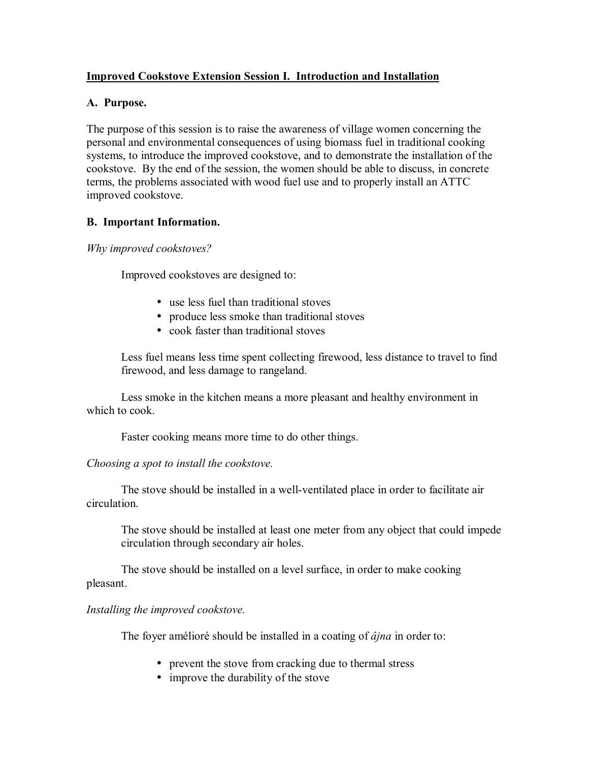## **Improved Cookstove Extension Session I. Introduction and Installation**

### **A. Purpose.**

The purpose of this session is to raise the awareness of village women concerning the personal and environmental consequences of using biomass fuel in traditional cooking systems, to introduce the improved cookstove, and to demonstrate the installation of the cookstove. By the end of the session, the women should be able to discuss, in concrete terms, the problems associated with wood fuel use and to properly install an ATTC improved cookstove.

## **B. Important Information.**

*Why improved cookstoves?* 

Improved cookstoves are designed to:

- use less fuel than traditional stoves
- produce less smoke than traditional stoves
- cook faster than traditional stoves

 Less fuel means less time spent collecting firewood, less distance to travel to find firewood, and less damage to rangeland.

 Less smoke in the kitchen means a more pleasant and healthy environment in which to cook.

Faster cooking means more time to do other things.

*Choosing a spot to install the cookstove.* 

The stove should be installed in a well-ventilated place in order to facilitate air circulation.

The stove should be installed at least one meter from any object that could impede circulation through secondary air holes.

The stove should be installed on a level surface, in order to make cooking pleasant.

*Installing the improved cookstove.* 

The foyer amélioré should be installed in a coating of  $\hat{a}$ *jna* in order to:

- prevent the stove from cracking due to thermal stress
- improve the durability of the stove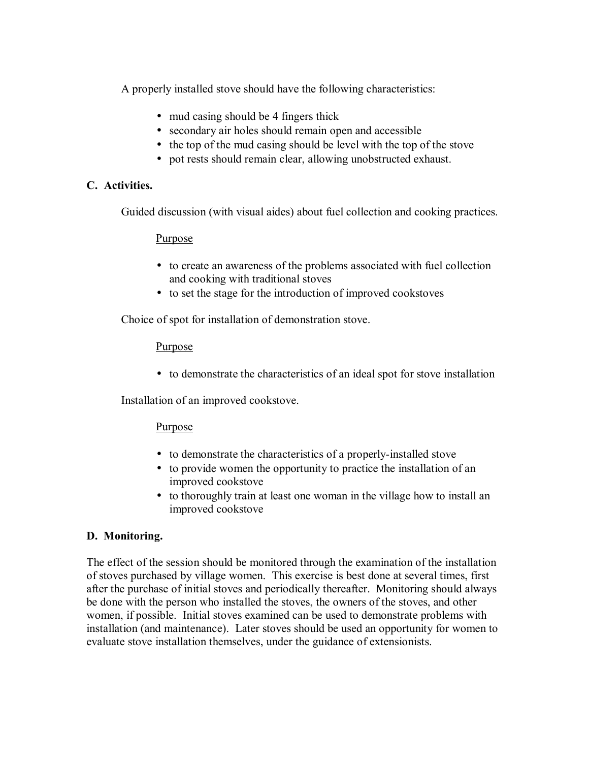A properly installed stove should have the following characteristics:

- mud casing should be 4 fingers thick
- secondary air holes should remain open and accessible
- the top of the mud casing should be level with the top of the stove
- pot rests should remain clear, allowing unobstructed exhaust.

## **C. Activities.**

Guided discussion (with visual aides) about fuel collection and cooking practices.

### **Purpose**

- to create an awareness of the problems associated with fuel collection and cooking with traditional stoves
- to set the stage for the introduction of improved cookstoves

Choice of spot for installation of demonstration stove.

### Purpose

• to demonstrate the characteristics of an ideal spot for stove installation

Installation of an improved cookstove.

## **Purpose**

- to demonstrate the characteristics of a properly-installed stove
- to provide women the opportunity to practice the installation of an improved cookstove
- to thoroughly train at least one woman in the village how to install an improved cookstove

## **D. Monitoring.**

The effect of the session should be monitored through the examination of the installation of stoves purchased by village women. This exercise is best done at several times, first after the purchase of initial stoves and periodically thereafter. Monitoring should always be done with the person who installed the stoves, the owners of the stoves, and other women, if possible. Initial stoves examined can be used to demonstrate problems with installation (and maintenance). Later stoves should be used an opportunity for women to evaluate stove installation themselves, under the guidance of extensionists.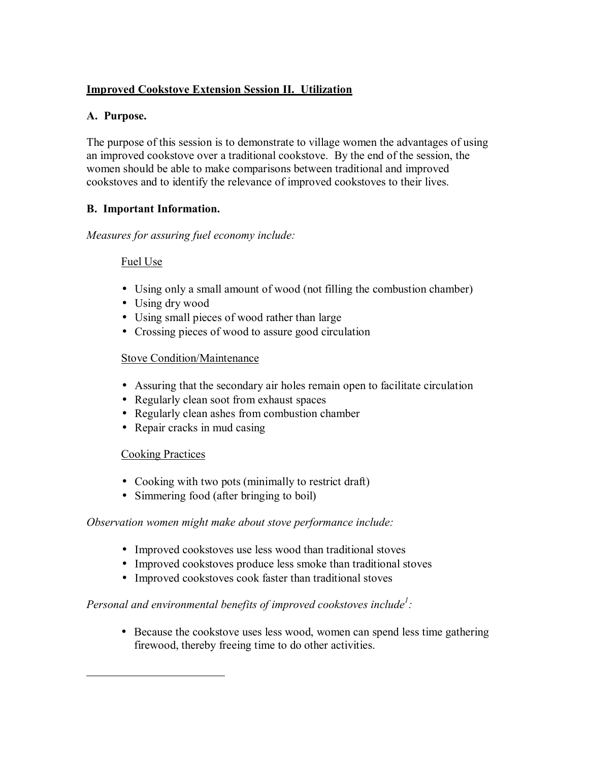# **Improved Cookstove Extension Session II. Utilization**

## **A. Purpose.**

The purpose of this session is to demonstrate to village women the advantages of using an improved cookstove over a traditional cookstove. By the end of the session, the women should be able to make comparisons between traditional and improved cookstoves and to identify the relevance of improved cookstoves to their lives.

# **B. Important Information.**

*Measures for assuring fuel economy include:* 

## Fuel Use

- Using only a small amount of wood (not filling the combustion chamber)
- Using dry wood
- Using small pieces of wood rather than large
- Crossing pieces of wood to assure good circulation

## Stove Condition/Maintenance

- Assuring that the secondary air holes remain open to facilitate circulation
- Regularly clean soot from exhaust spaces
- Regularly clean ashes from combustion chamber
- Repair cracks in mud casing

## Cooking Practices

 $\overline{a}$ 

- Cooking with two pots (minimally to restrict draft)
- Simmering food (after bringing to boil)

## *Observation women might make about stove performance include:*

- Improved cookstoves use less wood than traditional stoves
- Improved cookstoves produce less smoke than traditional stoves
- Improved cookstoves cook faster than traditional stoves

# *Personal and environmental benefits of improved cookstoves include<sup>1</sup>:*

• Because the cookstove uses less wood, women can spend less time gathering firewood, thereby freeing time to do other activities.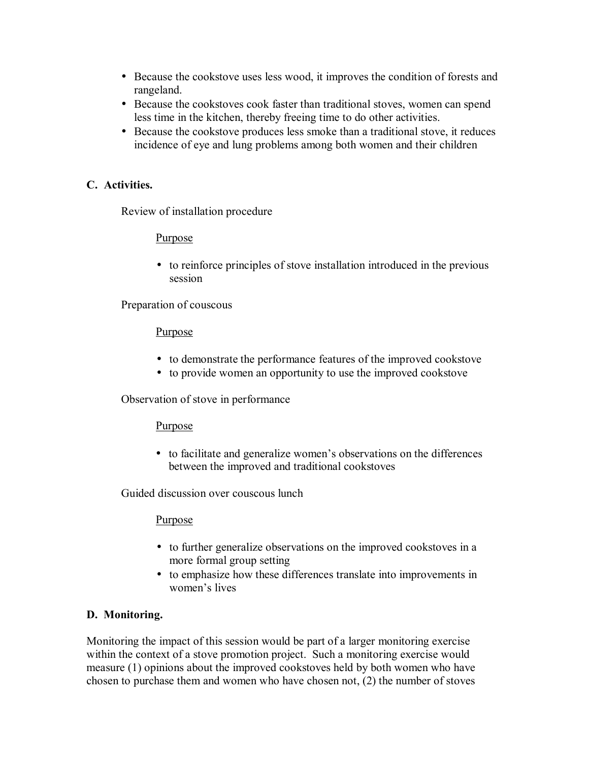- Because the cookstove uses less wood, it improves the condition of forests and rangeland.
- Because the cookstoves cook faster than traditional stoves, women can spend less time in the kitchen, thereby freeing time to do other activities.
- Because the cookstove produces less smoke than a traditional stove, it reduces incidence of eye and lung problems among both women and their children

## **C. Activities.**

Review of installation procedure

## **Purpose**

• to reinforce principles of stove installation introduced in the previous session

Preparation of couscous

### **Purpose**

- to demonstrate the performance features of the improved cookstove
- to provide women an opportunity to use the improved cookstove

Observation of stove in performance

### **Purpose**

• to facilitate and generalize women's observations on the differences between the improved and traditional cookstoves

Guided discussion over couscous lunch

## Purpose

- to further generalize observations on the improved cookstoves in a more formal group setting
- to emphasize how these differences translate into improvements in women's lives

## **D. Monitoring.**

Monitoring the impact of this session would be part of a larger monitoring exercise within the context of a stove promotion project. Such a monitoring exercise would measure (1) opinions about the improved cookstoves held by both women who have chosen to purchase them and women who have chosen not, (2) the number of stoves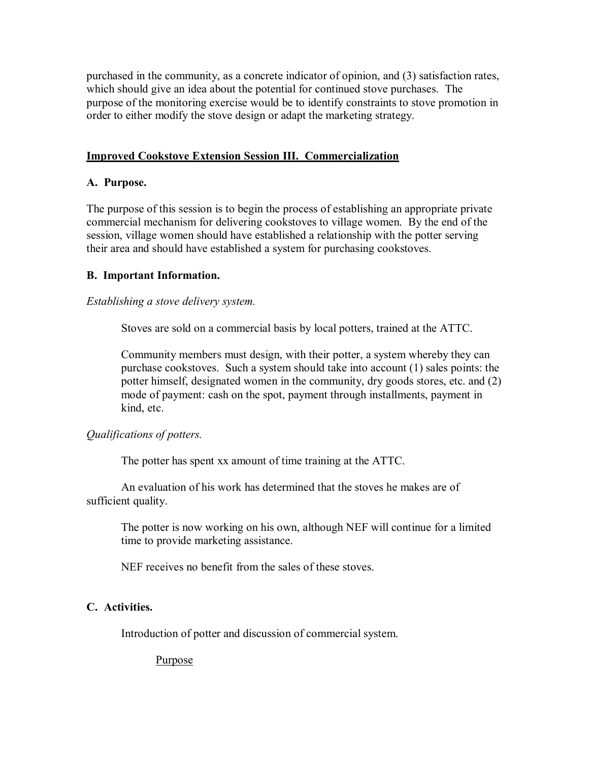purchased in the community, as a concrete indicator of opinion, and (3) satisfaction rates, which should give an idea about the potential for continued stove purchases. The purpose of the monitoring exercise would be to identify constraints to stove promotion in order to either modify the stove design or adapt the marketing strategy.

### **Improved Cookstove Extension Session III. Commercialization**

### **A. Purpose.**

The purpose of this session is to begin the process of establishing an appropriate private commercial mechanism for delivering cookstoves to village women. By the end of the session, village women should have established a relationship with the potter serving their area and should have established a system for purchasing cookstoves.

### **B. Important Information.**

### *Establishing a stove delivery system.*

Stoves are sold on a commercial basis by local potters, trained at the ATTC.

 Community members must design, with their potter, a system whereby they can purchase cookstoves. Such a system should take into account (1) sales points: the potter himself, designated women in the community, dry goods stores, etc. and (2) mode of payment: cash on the spot, payment through installments, payment in kind, etc.

### *Qualifications of potters.*

The potter has spent xx amount of time training at the ATTC.

 An evaluation of his work has determined that the stoves he makes are of sufficient quality.

 The potter is now working on his own, although NEF will continue for a limited time to provide marketing assistance.

NEF receives no benefit from the sales of these stoves.

### **C. Activities.**

Introduction of potter and discussion of commercial system.

**Purpose**